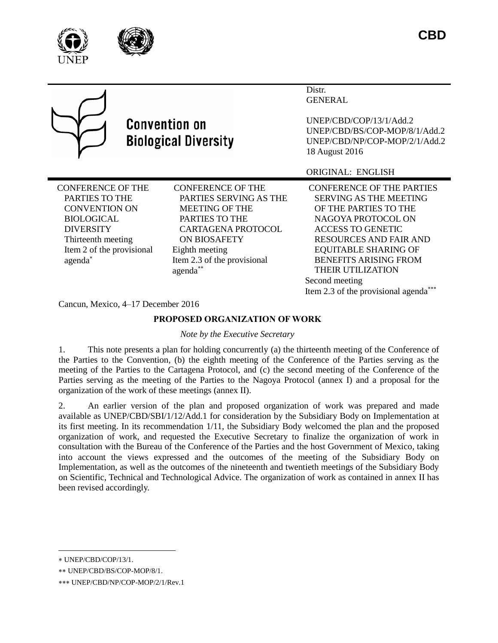





# **Convention on Biological Diversity**

Distr. GENERAL

UNEP/CBD/COP/13/1/Add.2 UNEP/CBD/BS/COP-MOP/8/1/Add.2 UNEP/CBD/NP/COP-MOP/2/1/Add.2 18 August 2016

ORIGINAL: ENGLISH

CONFERENCE OF THE PARTIES TO THE CONVENTION ON BIOLOGICAL DIVERSITY Thirteenth meeting Item 2 of the provisional agenda

CONFERENCE OF THE PARTIES SERVING AS THE MEETING OF THE PARTIES TO THE CARTAGENA PROTOCOL ON BIOSAFETY Eighth meeting Item 2.3 of the provisional agenda

CONFERENCE OF THE PARTIES SERVING AS THE MEETING OF THE PARTIES TO THE NAGOYA PROTOCOL ON ACCESS TO GENETIC RESOURCES AND FAIR AND EQUITABLE SHARING OF BENEFITS ARISING FROM THEIR UTILIZATION Second meeting Item 2.3 of the provisional agenda

Cancun, Mexico, 4–17 December 2016

# **PROPOSED ORGANIZATION OF WORK**

*Note by the Executive Secretary*

1. This note presents a plan for holding concurrently (a) the thirteenth meeting of the Conference of the Parties to the Convention, (b) the eighth meeting of the Conference of the Parties serving as the meeting of the Parties to the Cartagena Protocol, and (c) the second meeting of the Conference of the Parties serving as the meeting of the Parties to the Nagoya Protocol (annex I) and a proposal for the organization of the work of these meetings (annex II).

2. An earlier version of the plan and proposed organization of work was prepared and made available as UNEP/CBD/SBI/1/12/Add.1 for consideration by the Subsidiary Body on Implementation at its first meeting. In its recommendation 1/11, the Subsidiary Body welcomed the plan and the proposed organization of work, and requested the Executive Secretary to finalize the organization of work in consultation with the Bureau of the Conference of the Parties and the host Government of Mexico, taking into account the views expressed and the outcomes of the meeting of the Subsidiary Body on Implementation, as well as the outcomes of the nineteenth and twentieth meetings of the Subsidiary Body on Scientific, Technical and Technological Advice. The organization of work as contained in annex II has been revised accordingly.

l

UNEP/CBD/COP/13/1.

UNEP/CBD/BS/COP-MOP/8/1.

UNEP/CBD/NP/COP-MOP/2/1/Rev.1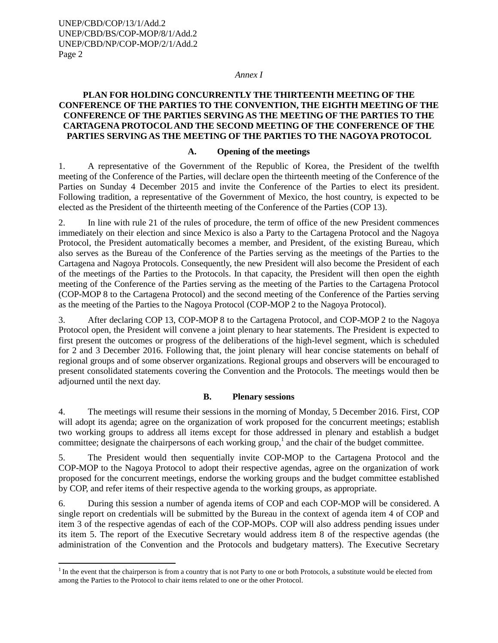UNEP/CBD/COP/13/1/Add.2 UNEP/CBD/BS/COP-MOP/8/1/Add.2 UNEP/CBD/NP/COP-MOP/2/1/Add.2 Page 2

l

#### *Annex I*

## **PLAN FOR HOLDING CONCURRENTLY THE THIRTEENTH MEETING OF THE CONFERENCE OF THE PARTIES TO THE CONVENTION, THE EIGHTH MEETING OF THE CONFERENCE OF THE PARTIES SERVING AS THE MEETING OF THE PARTIES TO THE CARTAGENA PROTOCOL AND THE SECOND MEETING OF THE CONFERENCE OF THE PARTIES SERVING AS THE MEETING OF THE PARTIES TO THE NAGOYA PROTOCOL**

#### **A. Opening of the meetings**

1. A representative of the Government of the Republic of Korea, the President of the twelfth meeting of the Conference of the Parties, will declare open the thirteenth meeting of the Conference of the Parties on Sunday 4 December 2015 and invite the Conference of the Parties to elect its president. Following tradition, a representative of the Government of Mexico, the host country, is expected to be elected as the President of the thirteenth meeting of the Conference of the Parties (COP 13).

2. In line with rule 21 of the rules of procedure, the term of office of the new President commences immediately on their election and since Mexico is also a Party to the Cartagena Protocol and the Nagoya Protocol, the President automatically becomes a member, and President, of the existing Bureau, which also serves as the Bureau of the Conference of the Parties serving as the meetings of the Parties to the Cartagena and Nagoya Protocols. Consequently, the new President will also become the President of each of the meetings of the Parties to the Protocols. In that capacity, the President will then open the eighth meeting of the Conference of the Parties serving as the meeting of the Parties to the Cartagena Protocol (COP-MOP 8 to the Cartagena Protocol) and the second meeting of the Conference of the Parties serving as the meeting of the Parties to the Nagoya Protocol (COP-MOP 2 to the Nagoya Protocol).

3. After declaring COP 13, COP-MOP 8 to the Cartagena Protocol, and COP-MOP 2 to the Nagoya Protocol open, the President will convene a joint plenary to hear statements. The President is expected to first present the outcomes or progress of the deliberations of the high-level segment, which is scheduled for 2 and 3 December 2016. Following that, the joint plenary will hear concise statements on behalf of regional groups and of some observer organizations. Regional groups and observers will be encouraged to present consolidated statements covering the Convention and the Protocols. The meetings would then be adjourned until the next day.

#### **B. Plenary sessions**

4. The meetings will resume their sessions in the morning of Monday, 5 December 2016. First, COP will adopt its agenda; agree on the organization of work proposed for the concurrent meetings; establish two working groups to address all items except for those addressed in plenary and establish a budget committee; designate the chairpersons of each working group, 1 and the chair of the budget committee.

5. The President would then sequentially invite COP-MOP to the Cartagena Protocol and the COP-MOP to the Nagoya Protocol to adopt their respective agendas, agree on the organization of work proposed for the concurrent meetings, endorse the working groups and the budget committee established by COP, and refer items of their respective agenda to the working groups, as appropriate.

6. During this session a number of agenda items of COP and each COP-MOP will be considered. A single report on credentials will be submitted by the Bureau in the context of agenda item 4 of COP and item 3 of the respective agendas of each of the COP-MOPs. COP will also address pending issues under its item 5. The report of the Executive Secretary would address item 8 of the respective agendas (the administration of the Convention and the Protocols and budgetary matters). The Executive Secretary

<sup>&</sup>lt;sup>1</sup> In the event that the chairperson is from a country that is not Party to one or both Protocols, a substitute would be elected from among the Parties to the Protocol to chair items related to one or the other Protocol.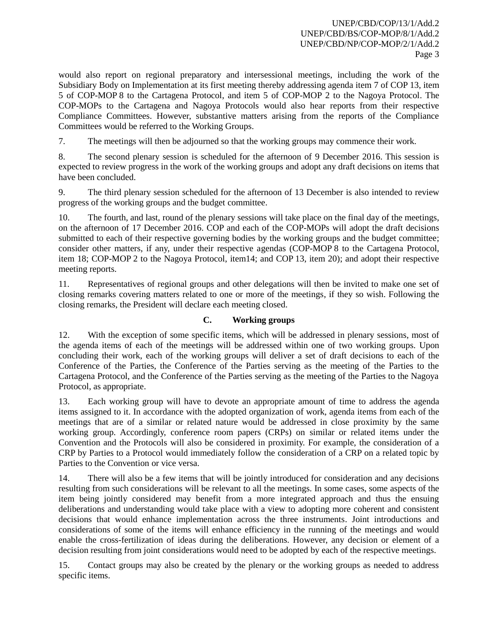would also report on regional preparatory and intersessional meetings, including the work of the Subsidiary Body on Implementation at its first meeting thereby addressing agenda item 7 of COP 13, item 5 of COP-MOP 8 to the Cartagena Protocol, and item 5 of COP-MOP 2 to the Nagoya Protocol. The COP-MOPs to the Cartagena and Nagoya Protocols would also hear reports from their respective Compliance Committees. However, substantive matters arising from the reports of the Compliance Committees would be referred to the Working Groups.

7. The meetings will then be adjourned so that the working groups may commence their work.

8. The second plenary session is scheduled for the afternoon of 9 December 2016. This session is expected to review progress in the work of the working groups and adopt any draft decisions on items that have been concluded.

9. The third plenary session scheduled for the afternoon of 13 December is also intended to review progress of the working groups and the budget committee.

10. The fourth, and last, round of the plenary sessions will take place on the final day of the meetings, on the afternoon of 17 December 2016. COP and each of the COP-MOPs will adopt the draft decisions submitted to each of their respective governing bodies by the working groups and the budget committee; consider other matters, if any, under their respective agendas (COP-MOP 8 to the Cartagena Protocol, item 18; COP-MOP 2 to the Nagoya Protocol, item14; and COP 13, item 20); and adopt their respective meeting reports.

11. Representatives of regional groups and other delegations will then be invited to make one set of closing remarks covering matters related to one or more of the meetings, if they so wish. Following the closing remarks, the President will declare each meeting closed.

# **C. Working groups**

12. With the exception of some specific items, which will be addressed in plenary sessions, most of the agenda items of each of the meetings will be addressed within one of two working groups. Upon concluding their work, each of the working groups will deliver a set of draft decisions to each of the Conference of the Parties, the Conference of the Parties serving as the meeting of the Parties to the Cartagena Protocol, and the Conference of the Parties serving as the meeting of the Parties to the Nagoya Protocol, as appropriate.

13. Each working group will have to devote an appropriate amount of time to address the agenda items assigned to it. In accordance with the adopted organization of work, agenda items from each of the meetings that are of a similar or related nature would be addressed in close proximity by the same working group. Accordingly, conference room papers (CRPs) on similar or related items under the Convention and the Protocols will also be considered in proximity. For example, the consideration of a CRP by Parties to a Protocol would immediately follow the consideration of a CRP on a related topic by Parties to the Convention or vice versa.

14. There will also be a few items that will be jointly introduced for consideration and any decisions resulting from such considerations will be relevant to all the meetings. In some cases, some aspects of the item being jointly considered may benefit from a more integrated approach and thus the ensuing deliberations and understanding would take place with a view to adopting more coherent and consistent decisions that would enhance implementation across the three instruments. Joint introductions and considerations of some of the items will enhance efficiency in the running of the meetings and would enable the cross-fertilization of ideas during the deliberations. However, any decision or element of a decision resulting from joint considerations would need to be adopted by each of the respective meetings.

15. Contact groups may also be created by the plenary or the working groups as needed to address specific items.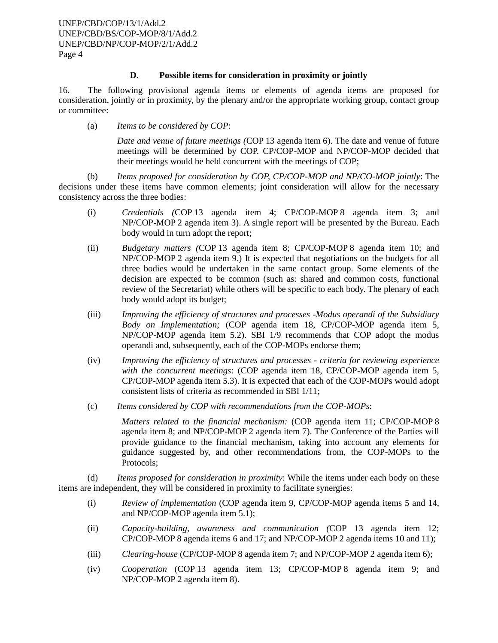## **D. Possible items for consideration in proximity or jointly**

16. The following provisional agenda items or elements of agenda items are proposed for consideration, jointly or in proximity, by the plenary and/or the appropriate working group, contact group or committee:

(a) *Items to be considered by COP*:

*Date and venue of future meetings (*COP 13 agenda item 6). The date and venue of future meetings will be determined by COP. CP/COP-MOP and NP/COP-MOP decided that their meetings would be held concurrent with the meetings of COP;

(b) *Items proposed for consideration by COP, CP/COP-MOP and NP/CO-MOP jointly*: The decisions under these items have common elements; joint consideration will allow for the necessary consistency across the three bodies:

- (i) *Credentials (*COP 13 agenda item 4; CP/COP-MOP 8 agenda item 3; and NP/COP-MOP 2 agenda item 3). A single report will be presented by the Bureau. Each body would in turn adopt the report;
- (ii) *Budgetary matters (*COP 13 agenda item 8; CP/COP-MOP 8 agenda item 10; and NP/COP-MOP 2 agenda item 9.) It is expected that negotiations on the budgets for all three bodies would be undertaken in the same contact group. Some elements of the decision are expected to be common (such as: shared and common costs, functional review of the Secretariat) while others will be specific to each body. The plenary of each body would adopt its budget;
- (iii) *Improving the efficiency of structures and processes* -*Modus operandi of the Subsidiary Body on Implementation;* (COP agenda item 18, CP/COP-MOP agenda item 5, NP/COP-MOP agenda item 5.2). SBI 1/9 recommends that COP adopt the modus operandi and, subsequently, each of the COP-MOPs endorse them;
- (iv) *Improving the efficiency of structures and processes criteria for reviewing experience with the concurrent meetings*: (COP agenda item 18, CP/COP-MOP agenda item 5, CP/COP-MOP agenda item 5.3). It is expected that each of the COP-MOPs would adopt consistent lists of criteria as recommended in SBI 1/11;
- (c) *Items considered by COP with recommendations from the COP-MOPs*:

*Matters related to the financial mechanism:* (COP agenda item 11; CP/COP-MOP 8 agenda item 8; and NP/COP-MOP 2 agenda item 7). The Conference of the Parties will provide guidance to the financial mechanism, taking into account any elements for guidance suggested by, and other recommendations from, the COP-MOPs to the Protocols;

(d) *Items proposed for consideration in proximity*: While the items under each body on these items are independent, they will be considered in proximity to facilitate synergies:

- (i) *Review of implementation* (COP agenda item 9, CP/COP-MOP agenda items 5 and 14, and NP/COP-MOP agenda item 5.1);
- (ii) *Capacity-building, awareness and communication (*COP 13 agenda item 12; CP/COP-MOP 8 agenda items 6 and 17; and NP/COP-MOP 2 agenda items 10 and 11);
- (iii) *Clearing-house* (CP/COP-MOP 8 agenda item 7; and NP/COP-MOP 2 agenda item 6);
- (iv) *Cooperation* (COP 13 agenda item 13; CP/COP-MOP 8 agenda item 9; and NP/COP-MOP 2 agenda item 8).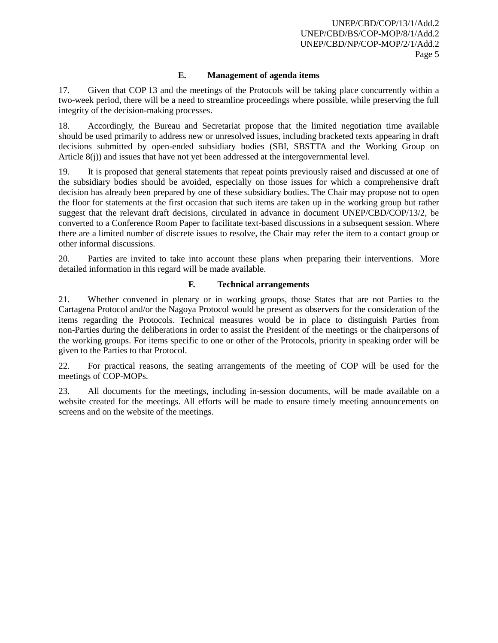# **E. Management of agenda items**

17. Given that COP 13 and the meetings of the Protocols will be taking place concurrently within a two-week period, there will be a need to streamline proceedings where possible, while preserving the full integrity of the decision-making processes.

18. Accordingly, the Bureau and Secretariat propose that the limited negotiation time available should be used primarily to address new or unresolved issues, including bracketed texts appearing in draft decisions submitted by open-ended subsidiary bodies (SBI, SBSTTA and the Working Group on Article 8(j)) and issues that have not yet been addressed at the intergovernmental level.

19. It is proposed that general statements that repeat points previously raised and discussed at one of the subsidiary bodies should be avoided, especially on those issues for which a comprehensive draft decision has already been prepared by one of these subsidiary bodies. The Chair may propose not to open the floor for statements at the first occasion that such items are taken up in the working group but rather suggest that the relevant draft decisions, circulated in advance in document UNEP/CBD/COP/13/2, be converted to a Conference Room Paper to facilitate text-based discussions in a subsequent session. Where there are a limited number of discrete issues to resolve, the Chair may refer the item to a contact group or other informal discussions.

20. Parties are invited to take into account these plans when preparing their interventions. More detailed information in this regard will be made available.

## **F. Technical arrangements**

21. Whether convened in plenary or in working groups, those States that are not Parties to the Cartagena Protocol and/or the Nagoya Protocol would be present as observers for the consideration of the items regarding the Protocols. Technical measures would be in place to distinguish Parties from non-Parties during the deliberations in order to assist the President of the meetings or the chairpersons of the working groups. For items specific to one or other of the Protocols, priority in speaking order will be given to the Parties to that Protocol.

22. For practical reasons, the seating arrangements of the meeting of COP will be used for the meetings of COP-MOPs.

23. All documents for the meetings, including in-session documents, will be made available on a website created for the meetings. All efforts will be made to ensure timely meeting announcements on screens and on the website of the meetings.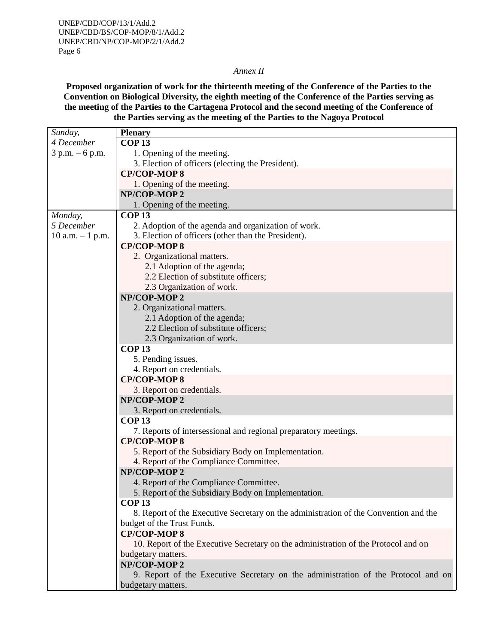#### *Annex II*

**Proposed organization of work for the thirteenth meeting of the Conference of the Parties to the Convention on Biological Diversity, the eighth meeting of the Conference of the Parties serving as the meeting of the Parties to the Cartagena Protocol and the second meeting of the Conference of the Parties serving as the meeting of the Parties to the Nagoya Protocol**

| Sunday,             | <b>Plenary</b>                                                                       |  |  |
|---------------------|--------------------------------------------------------------------------------------|--|--|
| 4 December          | <b>COP13</b>                                                                         |  |  |
| $3 p.m. - 6 p.m.$   | 1. Opening of the meeting.                                                           |  |  |
|                     | 3. Election of officers (electing the President).                                    |  |  |
|                     | <b>CP/COP-MOP8</b>                                                                   |  |  |
|                     | 1. Opening of the meeting.                                                           |  |  |
|                     | NP/COP-MOP 2                                                                         |  |  |
|                     | 1. Opening of the meeting.                                                           |  |  |
| Monday,             | <b>COP13</b>                                                                         |  |  |
| 5 December          | 2. Adoption of the agenda and organization of work.                                  |  |  |
| $10$ a.m. $-1$ p.m. | 3. Election of officers (other than the President).                                  |  |  |
|                     | <b>CP/COP-MOP8</b>                                                                   |  |  |
|                     | 2. Organizational matters.                                                           |  |  |
|                     | 2.1 Adoption of the agenda;                                                          |  |  |
|                     | 2.2 Election of substitute officers;                                                 |  |  |
|                     | 2.3 Organization of work.                                                            |  |  |
|                     | NP/COP-MOP 2                                                                         |  |  |
|                     | 2. Organizational matters.                                                           |  |  |
|                     | 2.1 Adoption of the agenda;                                                          |  |  |
|                     | 2.2 Election of substitute officers;                                                 |  |  |
|                     | 2.3 Organization of work.                                                            |  |  |
|                     | <b>COP13</b>                                                                         |  |  |
|                     | 5. Pending issues.                                                                   |  |  |
|                     | 4. Report on credentials.                                                            |  |  |
|                     | <b>CP/COP-MOP8</b>                                                                   |  |  |
|                     | 3. Report on credentials.                                                            |  |  |
|                     | NP/COP-MOP 2                                                                         |  |  |
|                     | 3. Report on credentials.                                                            |  |  |
|                     | <b>COP13</b>                                                                         |  |  |
|                     | 7. Reports of intersessional and regional preparatory meetings.                      |  |  |
|                     | <b>CP/COP-MOP8</b>                                                                   |  |  |
|                     | 5. Report of the Subsidiary Body on Implementation.                                  |  |  |
|                     | 4. Report of the Compliance Committee.                                               |  |  |
|                     | NP/COP-MOP 2                                                                         |  |  |
|                     | 4. Report of the Compliance Committee.                                               |  |  |
|                     | 5. Report of the Subsidiary Body on Implementation.                                  |  |  |
|                     | <b>COP13</b>                                                                         |  |  |
|                     | 8. Report of the Executive Secretary on the administration of the Convention and the |  |  |
|                     | budget of the Trust Funds.                                                           |  |  |
|                     | <b>CP/COP-MOP8</b>                                                                   |  |  |
|                     | 10. Report of the Executive Secretary on the administration of the Protocol and on   |  |  |
|                     | budgetary matters.                                                                   |  |  |
|                     | NP/COP-MOP 2                                                                         |  |  |
|                     | 9. Report of the Executive Secretary on the administration of the Protocol and on    |  |  |
|                     | budgetary matters.                                                                   |  |  |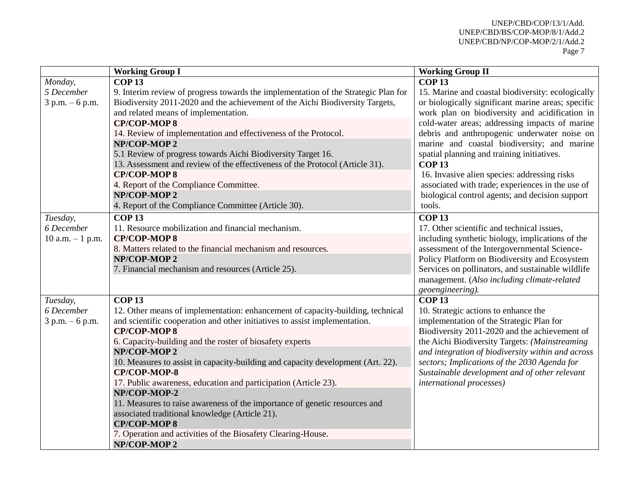|                     | <b>Working Group I</b>                                                             | <b>Working Group II</b>                            |
|---------------------|------------------------------------------------------------------------------------|----------------------------------------------------|
| Monday,             | <b>COP13</b>                                                                       | <b>COP13</b>                                       |
| 5 December          | 9. Interim review of progress towards the implementation of the Strategic Plan for | 15. Marine and coastal biodiversity: ecologically  |
| $3 p.m. - 6 p.m.$   | Biodiversity 2011-2020 and the achievement of the Aichi Biodiversity Targets,      | or biologically significant marine areas; specific |
|                     | and related means of implementation.                                               | work plan on biodiversity and acidification in     |
|                     | <b>CP/COP-MOP8</b>                                                                 | cold-water areas; addressing impacts of marine     |
|                     | 14. Review of implementation and effectiveness of the Protocol.                    | debris and anthropogenic underwater noise on       |
|                     | NP/COP-MOP2                                                                        | marine and coastal biodiversity; and marine        |
|                     | 5.1 Review of progress towards Aichi Biodiversity Target 16.                       | spatial planning and training initiatives.         |
|                     | 13. Assessment and review of the effectiveness of the Protocol (Article 31).       | <b>COP13</b>                                       |
|                     | <b>CP/COP-MOP8</b>                                                                 | 16. Invasive alien species: addressing risks       |
|                     | 4. Report of the Compliance Committee.                                             | associated with trade; experiences in the use of   |
|                     | NP/COP-MOP 2                                                                       | biological control agents; and decision support    |
|                     | 4. Report of the Compliance Committee (Article 30).                                | tools.                                             |
| Tuesday,            | <b>COP13</b>                                                                       | <b>COP13</b>                                       |
| 6 December          | 11. Resource mobilization and financial mechanism.                                 | 17. Other scientific and technical issues,         |
| $10$ a.m. $-1$ p.m. | <b>CP/COP-MOP8</b>                                                                 | including synthetic biology, implications of the   |
|                     | 8. Matters related to the financial mechanism and resources.                       | assessment of the Intergovernmental Science-       |
|                     | NP/COP-MOP2                                                                        | Policy Platform on Biodiversity and Ecosystem      |
|                     | 7. Financial mechanism and resources (Article 25).                                 | Services on pollinators, and sustainable wildlife  |
|                     |                                                                                    | management. (Also including climate-related        |
|                     |                                                                                    | geoengineering).                                   |
| Tuesday,            | <b>COP13</b>                                                                       | <b>COP13</b>                                       |
| 6 December          | 12. Other means of implementation: enhancement of capacity-building, technical     | 10. Strategic actions to enhance the               |
| $3 p.m. - 6 p.m.$   | and scientific cooperation and other initiatives to assist implementation.         | implementation of the Strategic Plan for           |
|                     | <b>CP/COP-MOP8</b>                                                                 | Biodiversity 2011-2020 and the achievement of      |
|                     | 6. Capacity-building and the roster of biosafety experts                           | the Aichi Biodiversity Targets: (Mainstreaming     |
|                     | NP/COP-MOP2                                                                        | and integration of biodiversity within and across  |
|                     | 10. Measures to assist in capacity-building and capacity development (Art. 22).    | sectors; Implications of the 2030 Agenda for       |
|                     | CP/COP-MOP-8                                                                       | Sustainable development and of other relevant      |
|                     | 17. Public awareness, education and participation (Article 23).                    | international processes)                           |
|                     | NP/COP-MOP-2                                                                       |                                                    |
|                     | 11. Measures to raise awareness of the importance of genetic resources and         |                                                    |
|                     | associated traditional knowledge (Article 21).                                     |                                                    |
|                     | <b>CP/COP-MOP8</b>                                                                 |                                                    |
|                     | 7. Operation and activities of the Biosafety Clearing-House.                       |                                                    |
|                     | NP/COP-MOP 2                                                                       |                                                    |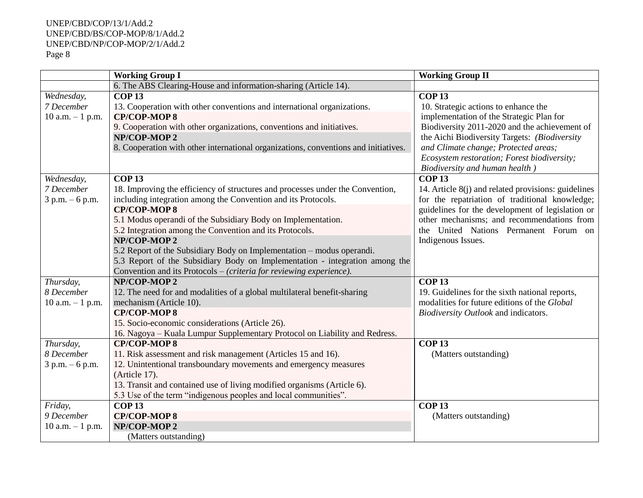# UNEP/CBD/COP/13/1/Add.2 UNEP/CBD/BS/COP-MOP/8/1/Add.2 UNEP/CBD/NP/COP-MOP/2/1/Add.2 Page 8

|                     | <b>Working Group I</b>                                                              | <b>Working Group II</b>                             |
|---------------------|-------------------------------------------------------------------------------------|-----------------------------------------------------|
|                     | 6. The ABS Clearing-House and information-sharing (Article 14).                     |                                                     |
| Wednesday,          | <b>COP13</b>                                                                        | <b>COP13</b>                                        |
| 7 December          | 13. Cooperation with other conventions and international organizations.             | 10. Strategic actions to enhance the                |
| $10$ a.m. $-1$ p.m. | <b>CP/COP-MOP8</b>                                                                  | implementation of the Strategic Plan for            |
|                     | 9. Cooperation with other organizations, conventions and initiatives.               | Biodiversity 2011-2020 and the achievement of       |
|                     | NP/COP-MOP 2                                                                        | the Aichi Biodiversity Targets: (Biodiversity       |
|                     | 8. Cooperation with other international organizations, conventions and initiatives. | and Climate change; Protected areas;                |
|                     |                                                                                     | Ecosystem restoration; Forest biodiversity;         |
|                     |                                                                                     | Biodiversity and human health)                      |
| Wednesday,          | <b>COP13</b>                                                                        | <b>COP13</b>                                        |
| 7 December          | 18. Improving the efficiency of structures and processes under the Convention,      | 14. Article 8(j) and related provisions: guidelines |
| $3 p.m. - 6 p.m.$   | including integration among the Convention and its Protocols.                       | for the repatriation of traditional knowledge;      |
|                     | <b>CP/COP-MOP8</b>                                                                  | guidelines for the development of legislation or    |
|                     | 5.1 Modus operandi of the Subsidiary Body on Implementation.                        | other mechanisms; and recommendations from          |
|                     | 5.2 Integration among the Convention and its Protocols.                             | the United Nations Permanent Forum on               |
|                     | NP/COP-MOP 2                                                                        | Indigenous Issues.                                  |
|                     | 5.2 Report of the Subsidiary Body on Implementation – modus operandi.               |                                                     |
|                     | 5.3 Report of the Subsidiary Body on Implementation - integration among the         |                                                     |
|                     | Convention and its Protocols – (criteria for reviewing experience).                 |                                                     |
| Thursday,           | NP/COP-MOP 2                                                                        | <b>COP13</b>                                        |
| 8 December          | 12. The need for and modalities of a global multilateral benefit-sharing            | 19. Guidelines for the sixth national reports,      |
| $10$ a.m. $-1$ p.m. | mechanism (Article 10).                                                             | modalities for future editions of the Global        |
|                     | <b>CP/COP-MOP8</b>                                                                  | Biodiversity Outlook and indicators.                |
|                     | 15. Socio-economic considerations (Article 26).                                     |                                                     |
|                     | 16. Nagoya – Kuala Lumpur Supplementary Protocol on Liability and Redress.          |                                                     |
| Thursday,           | <b>CP/COP-MOP8</b>                                                                  | <b>COP13</b>                                        |
| 8 December          | 11. Risk assessment and risk management (Articles 15 and 16).                       | (Matters outstanding)                               |
| $3 p.m. - 6 p.m.$   | 12. Unintentional transboundary movements and emergency measures                    |                                                     |
|                     | (Article 17).                                                                       |                                                     |
|                     | 13. Transit and contained use of living modified organisms (Article 6).             |                                                     |
|                     | 5.3 Use of the term "indigenous peoples and local communities".                     |                                                     |
| Friday,             | <b>COP13</b>                                                                        | <b>COP13</b>                                        |
| 9 December          | <b>CP/COP-MOP8</b>                                                                  | (Matters outstanding)                               |
| $10$ a.m. $-1$ p.m. | NP/COP-MOP 2                                                                        |                                                     |
|                     | (Matters outstanding)                                                               |                                                     |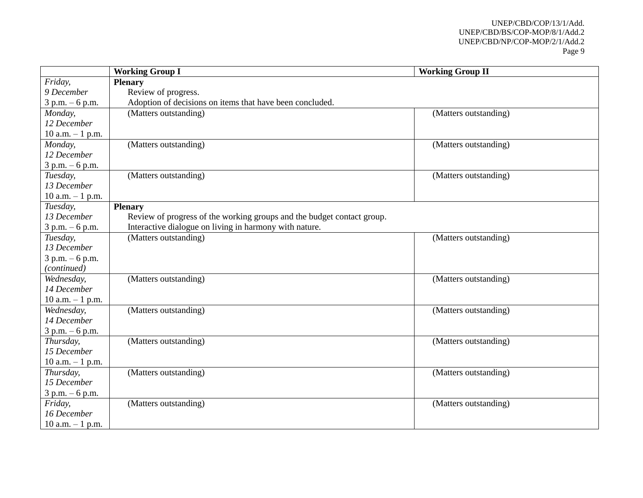#### UNEP/CBD/COP/13/1/Add. UNEP/CBD/BS/COP-MOP/8/1/Add.2 UNEP/CBD/NP/COP-MOP/2/1/Add.2 Page 9

|                     | <b>Working Group I</b>                                                 | <b>Working Group II</b> |
|---------------------|------------------------------------------------------------------------|-------------------------|
| Friday,             | <b>Plenary</b>                                                         |                         |
| 9 December          | Review of progress.                                                    |                         |
| $3 p.m. - 6 p.m.$   | Adoption of decisions on items that have been concluded.               |                         |
| Monday,             | (Matters outstanding)                                                  | (Matters outstanding)   |
| 12 December         |                                                                        |                         |
| $10$ a.m. $-1$ p.m. |                                                                        |                         |
| Monday,             | (Matters outstanding)                                                  | (Matters outstanding)   |
| 12 December         |                                                                        |                         |
| $3 p.m. - 6 p.m.$   |                                                                        |                         |
| Tuesday,            | (Matters outstanding)                                                  | (Matters outstanding)   |
| 13 December         |                                                                        |                         |
| 10 a.m. $-1$ p.m.   |                                                                        |                         |
| Tuesday,            | <b>Plenary</b>                                                         |                         |
| 13 December         | Review of progress of the working groups and the budget contact group. |                         |
| $3 p.m. - 6 p.m.$   | Interactive dialogue on living in harmony with nature.                 |                         |
| Tuesday,            | (Matters outstanding)                                                  | (Matters outstanding)   |
| 13 December         |                                                                        |                         |
| $3 p.m. - 6 p.m.$   |                                                                        |                         |
| (continued)         |                                                                        |                         |
| Wednesday,          | (Matters outstanding)                                                  | (Matters outstanding)   |
| 14 December         |                                                                        |                         |
| 10 a.m. $-1$ p.m.   |                                                                        |                         |
| Wednesday,          | (Matters outstanding)                                                  | (Matters outstanding)   |
| 14 December         |                                                                        |                         |
| $3 p.m. - 6 p.m.$   |                                                                        |                         |
| Thursday,           | (Matters outstanding)                                                  | (Matters outstanding)   |
| 15 December         |                                                                        |                         |
| $10$ a.m. $-1$ p.m. |                                                                        |                         |
| Thursday,           | (Matters outstanding)                                                  | (Matters outstanding)   |
| 15 December         |                                                                        |                         |
| $3 p.m. - 6 p.m.$   |                                                                        |                         |
| Friday,             | (Matters outstanding)                                                  | (Matters outstanding)   |
| 16 December         |                                                                        |                         |
| 10 a.m. $-1$ p.m.   |                                                                        |                         |